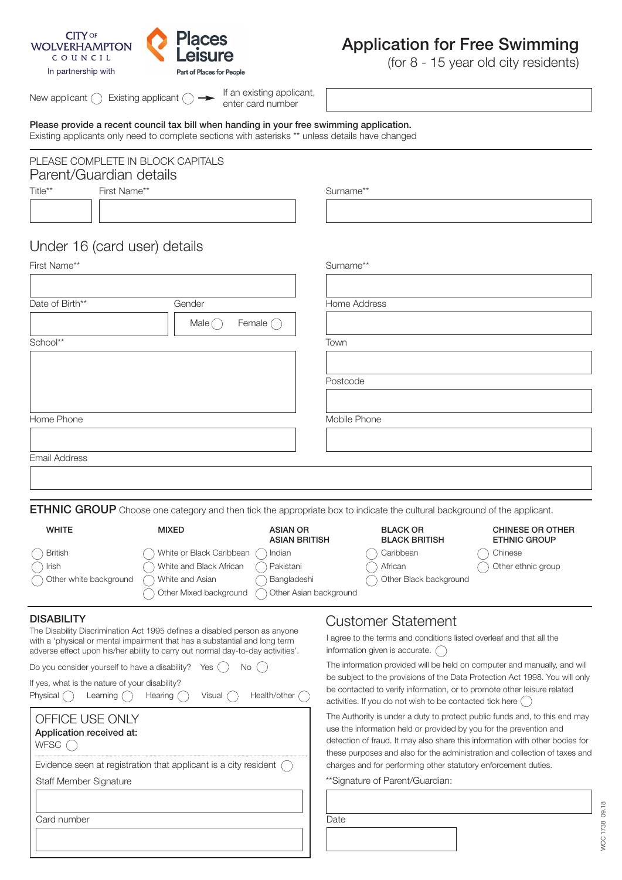

# **Application for Free Swimming**

(for 8 - 15 year old city residents)

New applicant  $\bigcirc$  Existing applicant  $\bigcirc \rightarrow$ 

If an existing applicant, enter card number

**Please provide a recent council tax bill when handing in your free swimming application.** Existing applicants only need to complete sections with asterisks \*\* unless details have changed

#### PLEASE COMPLETE IN BLOCK CAPITALS Parent/Guardian details First Name\*\* Surname\*\*

Title\*\*

## Under 16 (card user) details

| First Name**         |                                     | Surname**    |  |  |
|----------------------|-------------------------------------|--------------|--|--|
|                      |                                     |              |  |  |
| Date of Birth**      | Gender                              | Home Address |  |  |
|                      | Female $\bigcirc$<br>Male $\bigcap$ |              |  |  |
| School**             |                                     | Town         |  |  |
|                      |                                     |              |  |  |
|                      |                                     | Postcode     |  |  |
|                      |                                     |              |  |  |
| Home Phone           |                                     | Mobile Phone |  |  |
|                      |                                     |              |  |  |
| <b>Email Address</b> |                                     |              |  |  |
|                      |                                     |              |  |  |
|                      |                                     |              |  |  |

**ETHNIC GROUP** Choose one category and then tick the appropriate box to indicate the cultural background of the applicant.

| <b>WHITE</b>           | <b>MIXED</b>             | <b>ASIAN OR</b><br><b>ASIAN BRITISH</b> | <b>BLACK OR</b><br><b>BLACK BRITISH</b> | <b>CHINESE OR OTHER</b><br><b>ETHNIC GROUP</b> |
|------------------------|--------------------------|-----------------------------------------|-----------------------------------------|------------------------------------------------|
| <b>British</b>         | White or Black Caribbean | Indian                                  | Caribbean                               | Chinese                                        |
| Irish                  | White and Black African  | Pakistani                               | African                                 | Other ethnic group                             |
| Other white background | White and Asian          | Bangladeshi                             | Other Black background                  |                                                |
|                        | Other Mixed background   | Other Asian background                  |                                         |                                                |

The Disability Discrimination Act 1995 defines a disabled person as anyone with a 'physical or mental impairment that has a substantial and long term adverse effect upon his/her ability to carry out normal day-to-day activities'.

| Do you consider yourself to have a disability? Yes $( )$ No $( )$ |  |  |
|-------------------------------------------------------------------|--|--|
| If yes, what is the nature of your disability?                    |  |  |

Physical  $\bigcap$  Learning  $\bigcap$  Hearing  $\bigcap$  Visual  $\bigcap$  Health/other  $\bigcap$ 

| OFFICE USE ONLY<br>Application received at:<br><b>WFSC</b>                |
|---------------------------------------------------------------------------|
| Evidence seen at registration that applicant is a city resident $\bigcap$ |
| <b>Staff Member Signature</b>                                             |
|                                                                           |
| Card number                                                               |
|                                                                           |

## **DISABILITY** DISABILITY

I agree to the terms and conditions listed overleaf and that all the information given is accurate.

The information provided will be held on computer and manually, and will be subject to the provisions of the Data Protection Act 1998. You will only be contacted to verify information, or to promote other leisure related activities. If you do not wish to be contacted tick here  $\bigcirc$ 

The Authority is under a duty to protect public funds and, to this end may use the information held or provided by you for the prevention and detection of fraud. It may also share this information with other bodies for these purposes and also for the administration and collection of taxes and charges and for performing other statutory enforcement duties.

\*\*Signature of Parent/Guardian:

**Date**